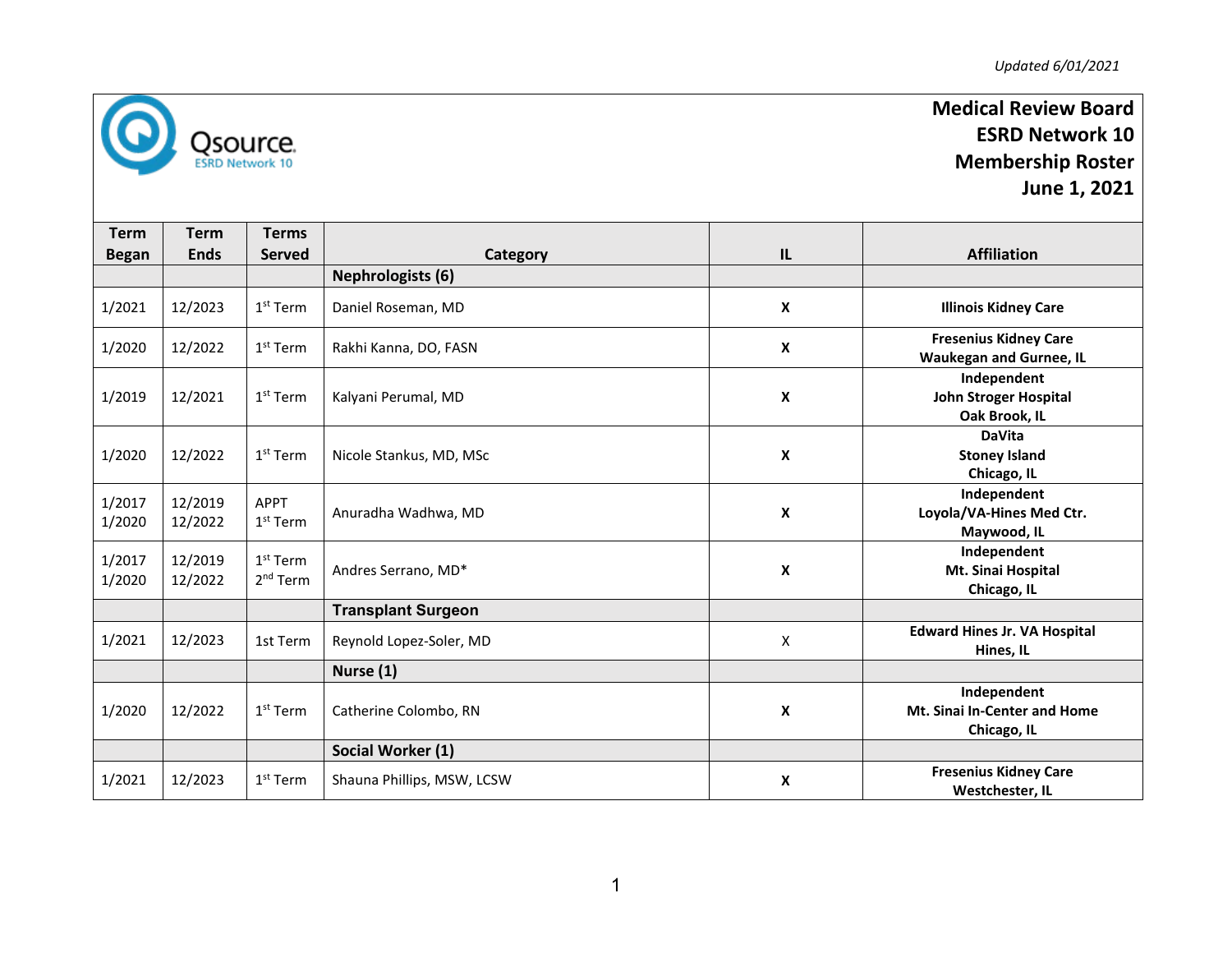

## **Medical Review Board ESRD Network 10 Membership Roster June 1, 2021**

**Term Began Term Ends Terms Served Category IL Affiliation Nephrologists ( 6 )** 1/2021 12/2023 1<sup>st</sup> Term | Daniel Roseman, MD **X Illinois Kidney Care** 1/2020 12/2022 1<sup>st</sup> Term | Rakhi Kanna, DO, FASN **<sup>X</sup> Fresenius Kidney Care Waukegan and Gurnee, IL** 1/201 9 12/2021 1<sup>st</sup> Term | Kalyani Perumal, MD **X Independent John Stroger Hospital Oak Brook, IL** 1/2020 12/2022 1<sup>st</sup> Term | Nicole Stankus, MD, MSc **X DaVita Stoney Island Chicago, IL** 1/2017 1/2020 12/2019 12/2022 APPT  $\frac{1}{1}$ st Term | Anuradha Wadhwa, MD **X Independent Loyola/VA -Hines Med Ctr. Maywood, IL** 1/2017 1/2020 12/2019 12/2022 1<sup>st</sup> Term  $2<sup>nd</sup> Term$  Andres Serrano, MD\* **X Independent Mt. Sinai Hospital Chicago, IL Transplant Surgeon** 1/2021 | 12/2023 | 1st Term | Reynold Lopez-Soler, MD <sup>X</sup> **Edward Hines Jr. VA Hospital Hines, IL Nurse (1)** 1/2020 12/2022 1<sup>st</sup> Term | Catherine Colombo, RN **X Independent Mt. Sinai In -Center and Home Chicago, IL Social Worker (1)** 1/2021 12/2023  $1<sup>st</sup> Term$  Shauna Phillips, MSW, LCSW **X Fresenius Kidney Care Westchester, IL**